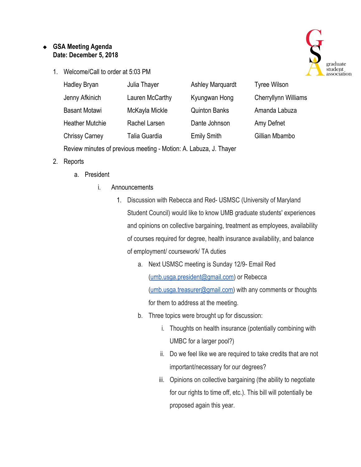## ❖ **GSA Meeting Agenda Date: December 5, 2018**

1. Welcome/Call to order at 5:03 PM



| Hadley Bryan                                                      | Julia Thayer    | <b>Ashley Marquardt</b> | <b>Tyree Wilson</b>         |
|-------------------------------------------------------------------|-----------------|-------------------------|-----------------------------|
| Jenny Afkinich                                                    | Lauren McCarthy | Kyungwan Hong           | <b>Cherryllynn Williams</b> |
| <b>Basant Motawi</b>                                              | McKayla Mickle  | <b>Quinton Banks</b>    | Amanda Labuza               |
| <b>Heather Mutchie</b>                                            | Rachel Larsen   | Dante Johnson           | Amy Defnet                  |
| <b>Chrissy Carney</b>                                             | Talia Guardia   | <b>Emily Smith</b>      | Gillian Mbambo              |
| Review minutes of previous meeting - Motion: A. Labuza, J. Thayer |                 |                         |                             |

- 2. Reports
	- a. President
		- i. Announcements
			- 1. Discussion with Rebecca and Red- USMSC (University of Maryland Student Council) would like to know UMB graduate students' experiences and opinions on collective bargaining, treatment as employees, availability of courses required for degree, health insurance availability, and balance of employment/ coursework/ TA duties
				- a. Next USMSC meeting is Sunday 12/9- Email Red [\(umb.usga.president@gmail.com\)](mailto:umb.usga.president@gmail.com) or Rebecca [\(umb.usga.treasurer@gmail.com](mailto:umb.usga.treasurer@gmail.com)) with any comments or thoughts for them to address at the meeting.
				- b. Three topics were brought up for discussion:
					- i. Thoughts on health insurance (potentially combining with UMBC for a larger pool?)
					- ii. Do we feel like we are required to take credits that are not important/necessary for our degrees?
					- iii. Opinions on collective bargaining (the ability to negotiate for our rights to time off, etc.). This bill will potentially be proposed again this year.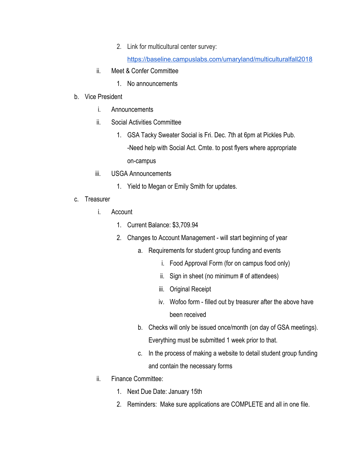2. Link for multicultural center survey:

<https://baseline.campuslabs.com/umaryland/multiculturalfall2018>

- ii. Meet & Confer Committee
	- 1. No announcements
- b. Vice President
	- i. Announcements
	- ii. Social Activities Committee
		- 1. GSA Tacky Sweater Social is Fri. Dec. 7th at 6pm at Pickles Pub. -Need help with Social Act. Cmte. to post flyers where appropriate on-campus
	- iii. USGA Announcements
		- 1. Yield to Megan or Emily Smith for updates.
- c. Treasurer
	- i. Account
		- 1. Current Balance: \$3,709.94
		- 2. Changes to Account Management will start beginning of year
			- a. Requirements for student group funding and events
				- i. Food Approval Form (for on campus food only)
				- ii. Sign in sheet (no minimum # of attendees)
				- iii. Original Receipt
				- iv. Wofoo form filled out by treasurer after the above have been received
			- b. Checks will only be issued once/month (on day of GSA meetings). Everything must be submitted 1 week prior to that.
			- c. In the process of making a website to detail student group funding and contain the necessary forms
	- ii. Finance Committee:
		- 1. Next Due Date: January 15th
		- 2. Reminders: Make sure applications are COMPLETE and all in one file.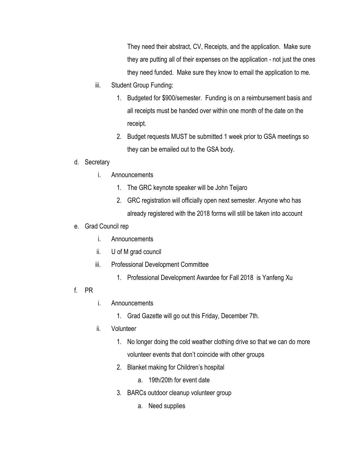They need their abstract, CV, Receipts, and the application. Make sure they are putting all of their expenses on the application - not just the ones they need funded. Make sure they know to email the application to me.

- iii. Student Group Funding:
	- 1. Budgeted for \$900/semester. Funding is on a reimbursement basis and all receipts must be handed over within one month of the date on the receipt.
	- 2. Budget requests MUST be submitted 1 week prior to GSA meetings so they can be emailed out to the GSA body.

## d. Secretary

- i. Announcements
	- 1. The GRC keynote speaker will be John Teijaro
	- 2. GRC registration will officially open next semester. Anyone who has already registered with the 2018 forms will still be taken into account
- e. Grad Council rep
	- i. Announcements
	- ii. U of M grad council
	- iii. Professional Development Committee
		- 1. Professional Development Awardee for Fall 2018 is Yanfeng Xu
- f. PR
- i. Announcements
	- 1. Grad Gazette will go out this Friday, December 7th.
- ii. Volunteer
	- 1. No longer doing the cold weather clothing drive so that we can do more volunteer events that don't coincide with other groups
	- 2. Blanket making for Children's hospital
		- a. 19th/20th for event date
	- 3. BARCs outdoor cleanup volunteer group
		- a. Need supplies